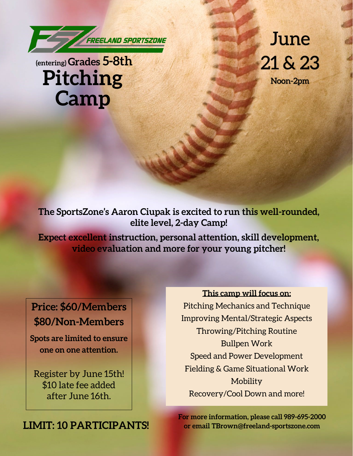

## **(entering) Grades 5-8th Pitching Camp**

June  $21 & 23$ 

Noon-2pm

**The SportsZone's Aaron Ciupak is excited to run this well-rounded, elite level, 2-day Camp!**

**Expect excellent instruction, personal attention, skill development, video evaluation and more for your young pitcher!** 

**Price: \$60/Members \$80/Non-Members**

**Spots are limited to ensure one on one attention.** 

Register by June 15th! \$10 late fee added after June 16th.

**LIMIT: 10 PARTICIPANTS!**

**This camp will focus on:**  Pitching Mechanics and Technique Improving Mental/Strategic Aspects Throwing/Pitching Routine Bullpen Work Speed and Power Development Fielding & Game Situational Work Mobility Recovery/Cool Down and more!

**For more information, please call 989-695-2000 or email TBrown@freeland-sportszone.com**